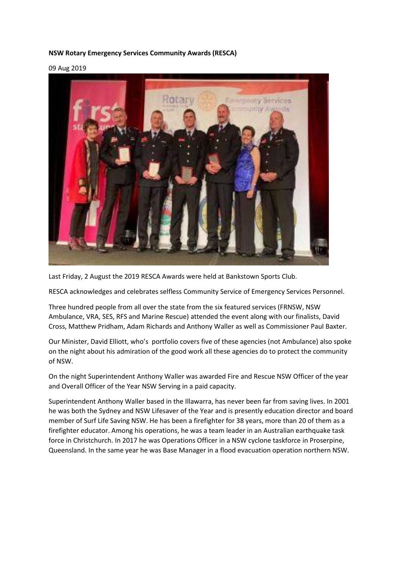## **NSW Rotary Emergency Services Community Awards (RESCA)**

09 Aug 2019



Last Friday, 2 August the 2019 RESCA Awards were held at Bankstown Sports Club.

RESCA acknowledges and celebrates selfless Community Service of Emergency Services Personnel.

Three hundred people from all over the state from the six featured services (FRNSW, NSW Ambulance, VRA, SES, RFS and Marine Rescue) attended the event along with our finalists, David Cross, Matthew Pridham, Adam Richards and Anthony Waller as well as Commissioner Paul Baxter.

Our Minister, David Elliott, who's portfolio covers five of these agencies (not Ambulance) also spoke on the night about his admiration of the good work all these agencies do to protect the community of NSW.

On the night Superintendent Anthony Waller was awarded Fire and Rescue NSW Officer of the year and Overall Officer of the Year NSW Serving in a paid capacity.

Superintendent Anthony Waller based in the Illawarra, has never been far from saving lives. In 2001 he was both the Sydney and NSW Lifesaver of the Year and is presently education director and board member of Surf Life Saving NSW. He has been a firefighter for 38 years, more than 20 of them as a firefighter educator. Among his operations, he was a team leader in an Australian earthquake task force in Christchurch. In 2017 he was Operations Officer in a NSW cyclone taskforce in Proserpine, Queensland. In the same year he was Base Manager in a flood evacuation operation northern NSW.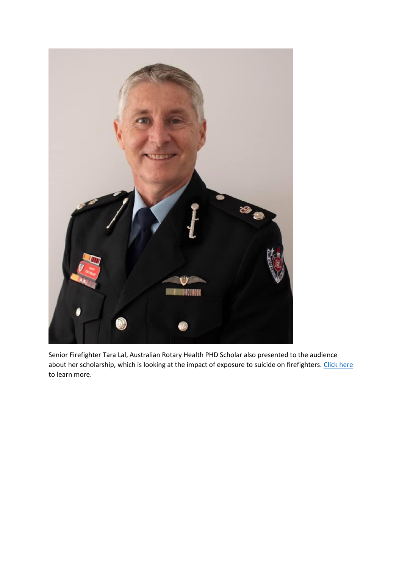

Senior Firefighter Tara Lal, Australian Rotary Health PHD Scholar also presented to the audience about her scholarship, which is looking at the impact of exposure to suicide on firefighters. [Click here](https://www.rotaryescawards.org.au/) to learn more.